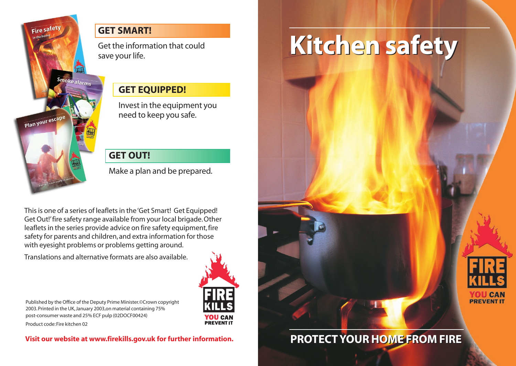

#### **GET SMART!**

Get the information that could save your life.

#### **GET EQUIPPED!**

Invest in the equipment you need to keep you safe.

**GET OUT!**  Make a plan and be prepared.

This is one of a series of leaflets in the 'Get Smart! Get Equipped! Get Out!'fire safety range available from your local brigade.Other leaflets in the series provide advice on fire safety equipment, fire safety for parents and children, and extra information for those with eyesight problems or problems getting around.

Translations and alternative formats are also available.

Published by the Office of the Deputy Prime Minister.©Crown copyright 2003. Printed in the UK, January 2003,on material containing 75% post-consumer waste and 25% ECF pulp (02DOCF00424) Product code: Fire kitchen 02

**Visit our website at www.firekills.gov.uk for further information.**



# **Kitchen safety Kitchen safety**



# **PROTECT YOUR HOME FROM FIRE PROTECT YOUR HOME FROM FIRE**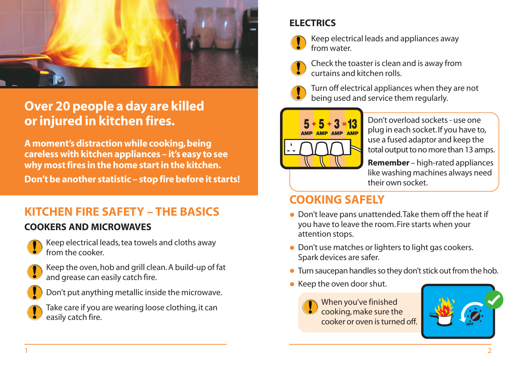

# **Over 20 people a day are killed or injured in kitchen fires.**

**A moment's distraction while cooking,being careless with kitchen appliances – it's easy to see why most fires in the home start in the kitchen. Don't be another statistic – stop fire before it starts!**

### **KITCHEN FIRE SAFETY – THE BASICS**

#### **COOKERS AND MICROWAVES**

Keep electrical leads, tea towels and cloths away from the cooker.



Keep the oven, hob and grill clean. A build-up of fat and grease can easily catch fire.



Don't put anything metallic inside the microwave.



Take care if you are wearing loose clothing, it can easily catch fire.

#### **ELECTRICS**



Keep electrical leads and appliances away from water.



Check the toaster is clean and is away from curtains and kitchen rolls.



Turn off electrical appliances when they are not being used and service them regularly.



Don't overload sockets - use one plug in each socket.If you have to, use a fused adaptor and keep the total output to no more than 13 amps.

**Remember** – high-rated appliances like washing machines always need their own socket.

## **COOKING SAFELY**

- Don't leave pans unattended.Take them off the heat if you have to leave the room. Fire starts when your attention stops.
- Don't use matches or lighters to light gas cookers. Spark devices are safer.
- Turn saucepan handles so they don't stick out from the hob.
- Keep the oven door shut.



When you've finished cooking, make sure the cooker or oven is turned off.

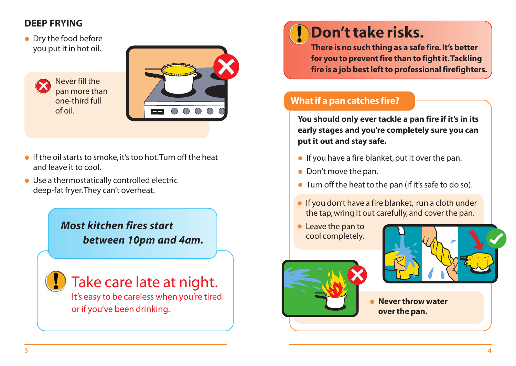#### **DEEP FRYING**

• Dry the food before you put it in hot oil.

> Never fill the pan more than one-third full of oil.



- If the oil starts to smoke, it's too hot.Turn off the heat and leave it to cool.
- Use a thermostatically controlled electric deep-fat fryer.They can't overheat.

*Most kitchen fires start between 10pm and 4am.*



# **Don't take risks.**

**There is no such thing as a safe fire. It's better for you to prevent fire than to fight it.Tackling fire is a job best left to professional firefighters.**

#### **What if a pan catches fire?**

**You should only ever tackle a pan fire if it's in its early stages and you're completely sure you can put it out and stay safe.**

- If you have a fire blanket, put it over the pan.
- Don't move the pan.
- Turn off the heat to the pan (if it's safe to do so).
- If you don't have a fire blanket, run a cloth under the tap, wring it out carefully, and cover the pan.
- Leave the pan to cool completely.



- 
- **Never throw water over the pan.**